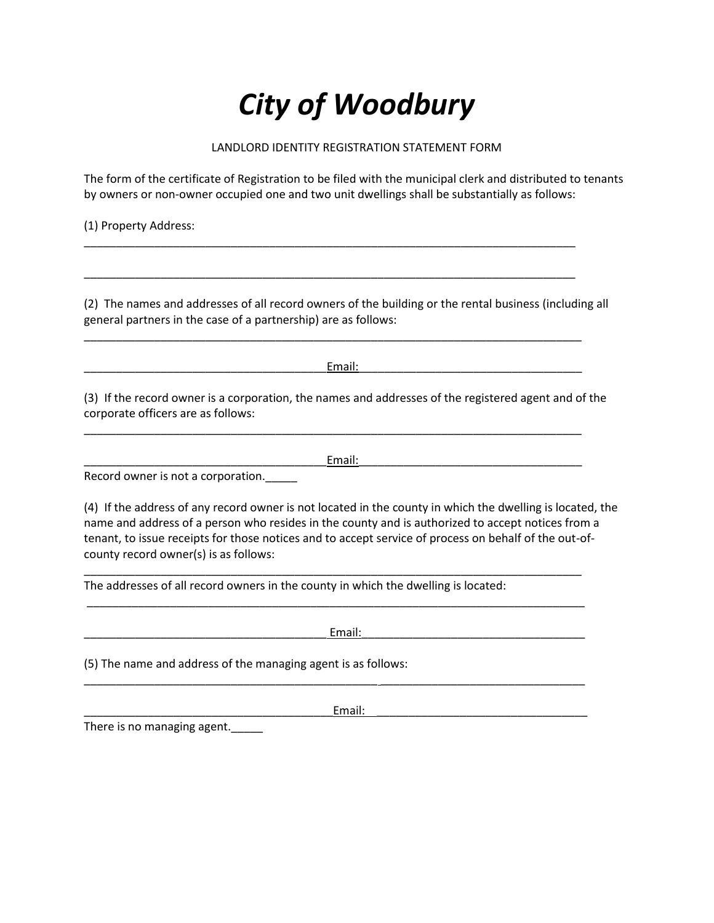## *City of Woodbury*

## LANDLORD IDENTITY REGISTRATION STATEMENT FORM

The form of the certificate of Registration to be filed with the municipal clerk and distributed to tenants by owners or non-owner occupied one and two unit dwellings shall be substantially as follows:

(1) Property Address:

(2) The names and addresses of all record owners of the building or the rental business (including all general partners in the case of a partnership) are as follows:

\_\_\_\_\_\_\_\_\_\_\_\_\_\_\_\_\_\_\_\_\_\_\_\_\_\_\_\_\_\_\_\_\_\_\_\_\_\_\_\_\_\_\_\_\_\_\_\_\_\_\_\_\_\_\_\_\_\_\_\_\_\_\_\_\_\_\_\_\_\_\_\_\_\_\_\_\_

\_\_\_\_\_\_\_\_\_\_\_\_\_\_\_\_\_\_\_\_\_\_\_\_\_\_\_\_\_\_\_\_\_\_\_\_\_\_\_\_\_\_\_\_\_\_\_\_\_\_\_\_\_\_\_\_\_\_\_\_\_\_\_\_\_\_\_\_\_\_\_\_\_\_\_\_\_

 $Email:$ 

\_\_\_\_\_\_\_\_\_\_\_\_\_\_\_\_\_\_\_\_\_\_\_\_\_\_\_\_\_\_\_\_\_\_\_\_\_\_\_\_\_\_\_\_\_\_\_\_\_\_\_\_\_\_\_\_\_\_\_\_\_\_\_\_\_\_\_\_\_\_\_\_\_\_\_\_\_\_

(3) If the record owner is a corporation, the names and addresses of the registered agent and of the corporate officers are as follows:

 $E$ mail: $\Box$ 

\_\_\_\_\_\_\_\_\_\_\_\_\_\_\_\_\_\_\_\_\_\_\_\_\_\_\_\_\_\_\_\_\_\_\_\_\_\_\_\_\_\_\_\_\_\_\_\_\_\_\_\_\_\_\_\_\_\_\_\_\_\_\_\_\_\_\_\_\_\_\_\_\_\_\_\_\_\_

Record owner is not a corporation.

(4) If the address of any record owner is not located in the county in which the dwelling is located, the name and address of a person who resides in the county and is authorized to accept notices from a tenant, to issue receipts for those notices and to accept service of process on behalf of the out-ofcounty record owner(s) is as follows:

The addresses of all record owners in the county in which the dwelling is located:

\_\_\_\_\_\_\_\_\_\_\_\_\_\_\_\_\_\_\_\_\_\_\_\_\_\_\_\_\_\_\_\_\_\_\_\_\_\_ Email:\_\_\_\_\_\_\_\_\_\_\_\_\_\_\_\_\_\_\_\_\_\_\_\_\_\_\_\_\_\_\_\_\_\_\_ (5) The name and address of the managing agent is as follows: \_\_\_\_\_\_\_\_\_\_\_\_\_\_\_\_\_\_\_\_\_\_\_\_\_\_\_\_\_\_\_\_\_\_\_\_\_\_\_\_\_\_\_\_\_\_ \_\_\_\_\_\_\_\_\_\_\_\_\_\_\_\_\_\_\_\_\_\_\_\_\_\_\_\_\_\_\_\_  $\blacksquare$   $\blacksquare$   $\blacksquare$   $\blacksquare$   $\blacksquare$   $\blacksquare$   $\blacksquare$   $\blacksquare$   $\blacksquare$   $\blacksquare$   $\blacksquare$   $\blacksquare$   $\blacksquare$   $\blacksquare$   $\blacksquare$   $\blacksquare$   $\blacksquare$   $\blacksquare$   $\blacksquare$   $\blacksquare$   $\blacksquare$   $\blacksquare$   $\blacksquare$   $\blacksquare$   $\blacksquare$   $\blacksquare$   $\blacksquare$   $\blacksquare$   $\blacksquare$   $\blacksquare$   $\blacksquare$   $\blacks$ 

\_\_\_\_\_\_\_\_\_\_\_\_\_\_\_\_\_\_\_\_\_\_\_\_\_\_\_\_\_\_\_\_\_\_\_\_\_\_\_\_\_\_\_\_\_\_\_\_\_\_\_\_\_\_\_\_\_\_\_\_\_\_\_\_\_\_\_\_\_\_\_\_\_\_\_\_\_\_

\_\_\_\_\_\_\_\_\_\_\_\_\_\_\_\_\_\_\_\_\_\_\_\_\_\_\_\_\_\_\_\_\_\_\_\_\_\_\_\_\_\_\_\_\_\_\_\_\_\_\_\_\_\_\_\_\_\_\_\_\_\_\_\_\_\_\_\_\_\_\_\_\_\_\_\_\_\_

There is no managing agent.